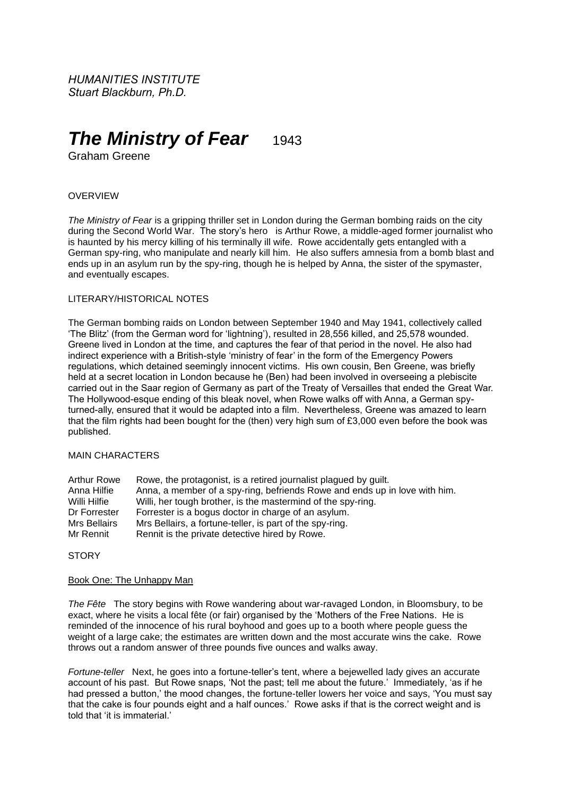*HUMANITIES INSTITUTE Stuart Blackburn, Ph.D.*

# *The Ministry of Fear* 1943

Graham Greene

# OVERVIEW

*The Ministry of Fear* is a gripping thriller set in London during the German bombing raids on the city during the Second World War. The story's hero is Arthur Rowe, a middle-aged former journalist who is haunted by his mercy killing of his terminally ill wife. Rowe accidentally gets entangled with a German spy-ring, who manipulate and nearly kill him. He also suffers amnesia from a bomb blast and ends up in an asylum run by the spy-ring, though he is helped by Anna, the sister of the spymaster, and eventually escapes.

# LITERARY/HISTORICAL NOTES

The German bombing raids on London between September 1940 and May 1941, collectively called 'The Blitz' (from the German word for 'lightning'), resulted in 28,556 killed, and 25,578 wounded. Greene lived in London at the time, and captures the fear of that period in the novel. He also had indirect experience with a British-style 'ministry of fear' in the form of the Emergency Powers regulations, which detained seemingly innocent victims. His own cousin, Ben Greene, was briefly held at a secret location in London because he (Ben) had been involved in overseeing a plebiscite carried out in the Saar region of Germany as part of the Treaty of Versailles that ended the Great War. The Hollywood-esque ending of this bleak novel, when Rowe walks off with Anna, a German spyturned-ally, ensured that it would be adapted into a film. Nevertheless, Greene was amazed to learn that the film rights had been bought for the (then) very high sum of £3,000 even before the book was published.

## MAIN CHARACTERS

| Arthur Rowe  | Rowe, the protagonist, is a retired journalist plagued by guilt.           |
|--------------|----------------------------------------------------------------------------|
| Anna Hilfie  | Anna, a member of a spy-ring, befriends Rowe and ends up in love with him. |
| Willi Hilfie | Willi, her tough brother, is the mastermind of the spy-ring.               |
| Dr Forrester | Forrester is a bogus doctor in charge of an asylum.                        |
| Mrs Bellairs | Mrs Bellairs, a fortune-teller, is part of the spy-ring.                   |
| Mr Rennit    | Rennit is the private detective hired by Rowe.                             |

# **STORY**

#### Book One: The Unhappy Man

*The Fête* The story begins with Rowe wandering about war-ravaged London, in Bloomsbury, to be exact, where he visits a local fête (or fair) organised by the 'Mothers of the Free Nations. He is reminded of the innocence of his rural boyhood and goes up to a booth where people guess the weight of a large cake; the estimates are written down and the most accurate wins the cake. Rowe throws out a random answer of three pounds five ounces and walks away.

*Fortune-teller* Next, he goes into a fortune-teller's tent, where a bejewelled lady gives an accurate account of his past. But Rowe snaps, 'Not the past; tell me about the future.' Immediately, 'as if he had pressed a button,' the mood changes, the fortune-teller lowers her voice and says, 'You must say that the cake is four pounds eight and a half ounces.' Rowe asks if that is the correct weight and is told that 'it is immaterial.'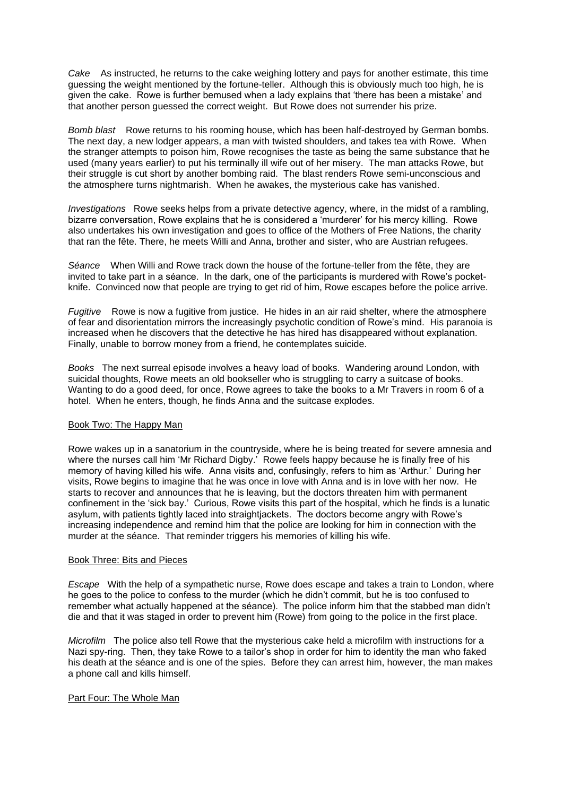*Cake* As instructed, he returns to the cake weighing lottery and pays for another estimate, this time guessing the weight mentioned by the fortune-teller. Although this is obviously much too high, he is given the cake. Rowe is further bemused when a lady explains that 'there has been a mistake' and that another person guessed the correct weight. But Rowe does not surrender his prize.

*Bomb blast* Rowe returns to his rooming house, which has been half-destroyed by German bombs. The next day, a new lodger appears, a man with twisted shoulders, and takes tea with Rowe. When the stranger attempts to poison him, Rowe recognises the taste as being the same substance that he used (many years earlier) to put his terminally ill wife out of her misery. The man attacks Rowe, but their struggle is cut short by another bombing raid. The blast renders Rowe semi-unconscious and the atmosphere turns nightmarish. When he awakes, the mysterious cake has vanished.

*Investigations* Rowe seeks helps from a private detective agency, where, in the midst of a rambling, bizarre conversation, Rowe explains that he is considered a 'murderer' for his mercy killing. Rowe also undertakes his own investigation and goes to office of the Mothers of Free Nations, the charity that ran the fête. There, he meets Willi and Anna, brother and sister, who are Austrian refugees.

*Séance* When Willi and Rowe track down the house of the fortune-teller from the fête, they are invited to take part in a séance. In the dark, one of the participants is murdered with Rowe's pocketknife. Convinced now that people are trying to get rid of him, Rowe escapes before the police arrive.

*Fugitive* Rowe is now a fugitive from justice. He hides in an air raid shelter, where the atmosphere of fear and disorientation mirrors the increasingly psychotic condition of Rowe's mind. His paranoia is increased when he discovers that the detective he has hired has disappeared without explanation. Finally, unable to borrow money from a friend, he contemplates suicide.

*Books* The next surreal episode involves a heavy load of books. Wandering around London, with suicidal thoughts, Rowe meets an old bookseller who is struggling to carry a suitcase of books. Wanting to do a good deed, for once, Rowe agrees to take the books to a Mr Travers in room 6 of a hotel. When he enters, though, he finds Anna and the suitcase explodes.

## Book Two: The Happy Man

Rowe wakes up in a sanatorium in the countryside, where he is being treated for severe amnesia and where the nurses call him 'Mr Richard Digby.' Rowe feels happy because he is finally free of his memory of having killed his wife. Anna visits and, confusingly, refers to him as 'Arthur.' During her visits, Rowe begins to imagine that he was once in love with Anna and is in love with her now. He starts to recover and announces that he is leaving, but the doctors threaten him with permanent confinement in the 'sick bay.' Curious, Rowe visits this part of the hospital, which he finds is a lunatic asylum, with patients tightly laced into straightjackets. The doctors become angry with Rowe's increasing independence and remind him that the police are looking for him in connection with the murder at the séance. That reminder triggers his memories of killing his wife.

#### Book Three: Bits and Pieces

*Escape* With the help of a sympathetic nurse, Rowe does escape and takes a train to London, where he goes to the police to confess to the murder (which he didn't commit, but he is too confused to remember what actually happened at the séance). The police inform him that the stabbed man didn't die and that it was staged in order to prevent him (Rowe) from going to the police in the first place.

*Microfilm* The police also tell Rowe that the mysterious cake held a microfilm with instructions for a Nazi spy-ring. Then, they take Rowe to a tailor's shop in order for him to identity the man who faked his death at the séance and is one of the spies. Before they can arrest him, however, the man makes a phone call and kills himself.

## Part Four: The Whole Man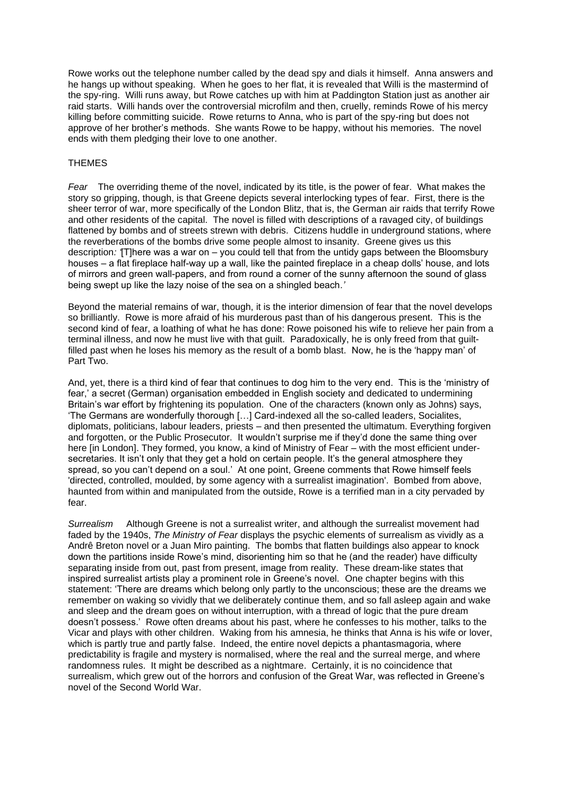Rowe works out the telephone number called by the dead spy and dials it himself. Anna answers and he hangs up without speaking. When he goes to her flat, it is revealed that Willi is the mastermind of the spy-ring. Willi runs away, but Rowe catches up with him at Paddington Station just as another air raid starts. Willi hands over the controversial microfilm and then, cruelly, reminds Rowe of his mercy killing before committing suicide. Rowe returns to Anna, who is part of the spy-ring but does not approve of her brother's methods. She wants Rowe to be happy, without his memories. The novel ends with them pledging their love to one another.

# **THEMES**

*Fear* The overriding theme of the novel, indicated by its title, is the power of fear. What makes the story so gripping, though, is that Greene depicts several interlocking types of fear. First, there is the sheer terror of war, more specifically of the London Blitz, that is, the German air raids that terrify Rowe and other residents of the capital. The novel is filled with descriptions of a ravaged city, of buildings flattened by bombs and of streets strewn with debris. Citizens huddle in underground stations, where the reverberations of the bombs drive some people almost to insanity. Greene gives us this description*: '*[T]here was a war on – you could tell that from the untidy gaps between the Bloomsbury houses – a flat fireplace half-way up a wall, like the painted fireplace in a cheap dolls' house, and lots of mirrors and green wall-papers, and from round a corner of the sunny afternoon the sound of glass being swept up like the lazy noise of the sea on a shingled beach*.'*

Beyond the material remains of war, though, it is the interior dimension of fear that the novel develops so brilliantly. Rowe is more afraid of his murderous past than of his dangerous present. This is the second kind of fear, a loathing of what he has done: Rowe poisoned his wife to relieve her pain from a terminal illness, and now he must live with that guilt. Paradoxically, he is only freed from that guiltfilled past when he loses his memory as the result of a bomb blast. Now, he is the 'happy man' of Part Two.

And, yet, there is a third kind of fear that continues to dog him to the very end. This is the 'ministry of fear,' a secret (German) organisation embedded in English society and dedicated to undermining Britain's war effort by frightening its population. One of the characters (known only as Johns) says, 'The Germans are wonderfully thorough […] Card-indexed all the so-called leaders, Socialites, diplomats, politicians, labour leaders, priests – and then presented the ultimatum. Everything forgiven and forgotten, or the Public Prosecutor. It wouldn't surprise me if they'd done the same thing over here [in London]. They formed, you know, a kind of Ministry of Fear – with the most efficient undersecretaries. It isn't only that they get a hold on certain people. It's the general atmosphere they spread, so you can't depend on a soul.' At one point, Greene comments that Rowe himself feels 'directed, controlled, moulded, by some agency with a surrealist imagination'. Bombed from above, haunted from within and manipulated from the outside, Rowe is a terrified man in a city pervaded by fear.

*Surrealism* Although Greene is not a surrealist writer, and although the surrealist movement had faded by the 1940s, *The Ministry of Fear* displays the psychic elements of surrealism as vividly as a Andrê Breton novel or a Juan Miro painting. The bombs that flatten buildings also appear to knock down the partitions inside Rowe's mind, disorienting him so that he (and the reader) have difficulty separating inside from out, past from present, image from reality. These dream-like states that inspired surrealist artists play a prominent role in Greene's novel. One chapter begins with this statement: 'There are dreams which belong only partly to the unconscious; these are the dreams we remember on waking so vividly that we deliberately continue them, and so fall asleep again and wake and sleep and the dream goes on without interruption, with a thread of logic that the pure dream doesn't possess.' Rowe often dreams about his past, where he confesses to his mother, talks to the Vicar and plays with other children. Waking from his amnesia, he thinks that Anna is his wife or lover, which is partly true and partly false. Indeed, the entire novel depicts a phantasmagoria, where predictability is fragile and mystery is normalised, where the real and the surreal merge, and where randomness rules. It might be described as a nightmare. Certainly, it is no coincidence that surrealism, which grew out of the horrors and confusion of the Great War, was reflected in Greene's novel of the Second World War.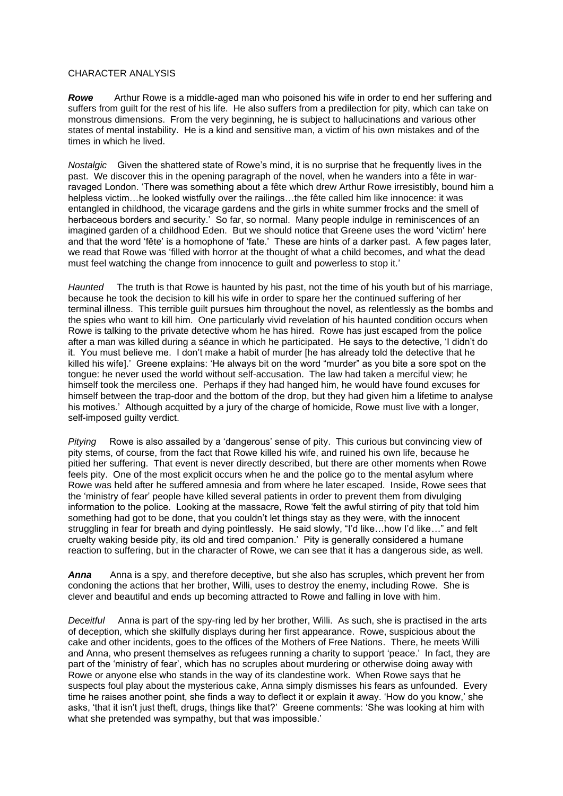## CHARACTER ANALYSIS

*Rowe* Arthur Rowe is a middle-aged man who poisoned his wife in order to end her suffering and suffers from guilt for the rest of his life. He also suffers from a predilection for pity, which can take on monstrous dimensions. From the very beginning, he is subject to hallucinations and various other states of mental instability. He is a kind and sensitive man, a victim of his own mistakes and of the times in which he lived.

*Nostalgic* Given the shattered state of Rowe's mind, it is no surprise that he frequently lives in the past. We discover this in the opening paragraph of the novel, when he wanders into a fête in warravaged London. 'There was something about a fête which drew Arthur Rowe irresistibly, bound him a helpless victim…he looked wistfully over the railings…the fête called him like innocence: it was entangled in childhood, the vicarage gardens and the girls in white summer frocks and the smell of herbaceous borders and security.' So far, so normal. Many people indulge in reminiscences of an imagined garden of a childhood Eden. But we should notice that Greene uses the word 'victim' here and that the word 'fête' is a homophone of 'fate.' These are hints of a darker past. A few pages later, we read that Rowe was 'filled with horror at the thought of what a child becomes, and what the dead must feel watching the change from innocence to guilt and powerless to stop it.'

*Haunted* The truth is that Rowe is haunted by his past, not the time of his youth but of his marriage, because he took the decision to kill his wife in order to spare her the continued suffering of her terminal illness. This terrible guilt pursues him throughout the novel, as relentlessly as the bombs and the spies who want to kill him. One particularly vivid revelation of his haunted condition occurs when Rowe is talking to the private detective whom he has hired. Rowe has just escaped from the police after a man was killed during a séance in which he participated. He says to the detective, 'I didn't do it. You must believe me. I don't make a habit of murder [he has already told the detective that he killed his wife].' Greene explains: 'He always bit on the word "murder" as you bite a sore spot on the tongue: he never used the world without self-accusation. The law had taken a merciful view; he himself took the merciless one. Perhaps if they had hanged him, he would have found excuses for himself between the trap-door and the bottom of the drop, but they had given him a lifetime to analyse his motives.' Although acquitted by a jury of the charge of homicide, Rowe must live with a longer, self-imposed guilty verdict.

*Pitying* Rowe is also assailed by a 'dangerous' sense of pity. This curious but convincing view of pity stems, of course, from the fact that Rowe killed his wife, and ruined his own life, because he pitied her suffering. That event is never directly described, but there are other moments when Rowe feels pity. One of the most explicit occurs when he and the police go to the mental asylum where Rowe was held after he suffered amnesia and from where he later escaped. Inside, Rowe sees that the 'ministry of fear' people have killed several patients in order to prevent them from divulging information to the police. Looking at the massacre, Rowe 'felt the awful stirring of pity that told him something had got to be done, that you couldn't let things stay as they were, with the innocent struggling in fear for breath and dying pointlessly. He said slowly, "I'd like…how I'd like…" and felt cruelty waking beside pity, its old and tired companion.' Pity is generally considered a humane reaction to suffering, but in the character of Rowe, we can see that it has a dangerous side, as well.

*Anna* Anna is a spy, and therefore deceptive, but she also has scruples, which prevent her from condoning the actions that her brother, Willi, uses to destroy the enemy, including Rowe. She is clever and beautiful and ends up becoming attracted to Rowe and falling in love with him.

*Deceitful* Anna is part of the spy-ring led by her brother, Willi. As such, she is practised in the arts of deception, which she skilfully displays during her first appearance. Rowe, suspicious about the cake and other incidents, goes to the offices of the Mothers of Free Nations. There, he meets Willi and Anna, who present themselves as refugees running a charity to support 'peace.' In fact, they are part of the 'ministry of fear', which has no scruples about murdering or otherwise doing away with Rowe or anyone else who stands in the way of its clandestine work. When Rowe says that he suspects foul play about the mysterious cake, Anna simply dismisses his fears as unfounded. Every time he raises another point, she finds a way to deflect it or explain it away. 'How do you know,' she asks, 'that it isn't just theft, drugs, things like that?' Greene comments: 'She was looking at him with what she pretended was sympathy, but that was impossible.'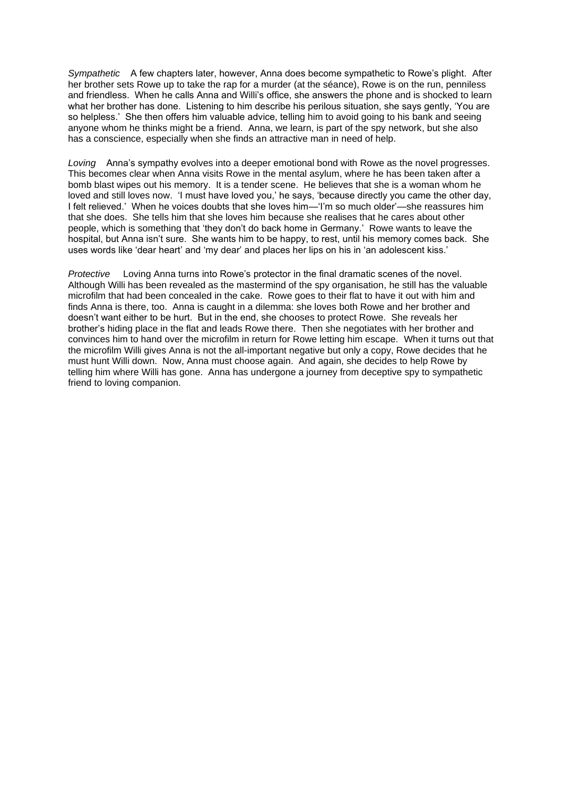*Sympathetic* A few chapters later, however, Anna does become sympathetic to Rowe's plight. After her brother sets Rowe up to take the rap for a murder (at the séance), Rowe is on the run, penniless and friendless. When he calls Anna and Willi's office, she answers the phone and is shocked to learn what her brother has done. Listening to him describe his perilous situation, she says gently, 'You are so helpless.' She then offers him valuable advice, telling him to avoid going to his bank and seeing anyone whom he thinks might be a friend. Anna, we learn, is part of the spy network, but she also has a conscience, especially when she finds an attractive man in need of help.

*Loving* Anna's sympathy evolves into a deeper emotional bond with Rowe as the novel progresses. This becomes clear when Anna visits Rowe in the mental asylum, where he has been taken after a bomb blast wipes out his memory. It is a tender scene. He believes that she is a woman whom he loved and still loves now. 'I must have loved you,' he says, 'because directly you came the other day, I felt relieved.' When he voices doubts that she loves him—'I'm so much older'—she reassures him that she does. She tells him that she loves him because she realises that he cares about other people, which is something that 'they don't do back home in Germany.' Rowe wants to leave the hospital, but Anna isn't sure. She wants him to be happy, to rest, until his memory comes back. She uses words like 'dear heart' and 'my dear' and places her lips on his in 'an adolescent kiss.'

*Protective* Loving Anna turns into Rowe's protector in the final dramatic scenes of the novel. Although Willi has been revealed as the mastermind of the spy organisation, he still has the valuable microfilm that had been concealed in the cake. Rowe goes to their flat to have it out with him and finds Anna is there, too. Anna is caught in a dilemma: she loves both Rowe and her brother and doesn't want either to be hurt. But in the end, she chooses to protect Rowe. She reveals her brother's hiding place in the flat and leads Rowe there. Then she negotiates with her brother and convinces him to hand over the microfilm in return for Rowe letting him escape. When it turns out that the microfilm Willi gives Anna is not the all-important negative but only a copy, Rowe decides that he must hunt Willi down. Now, Anna must choose again. And again, she decides to help Rowe by telling him where Willi has gone. Anna has undergone a journey from deceptive spy to sympathetic friend to loving companion.